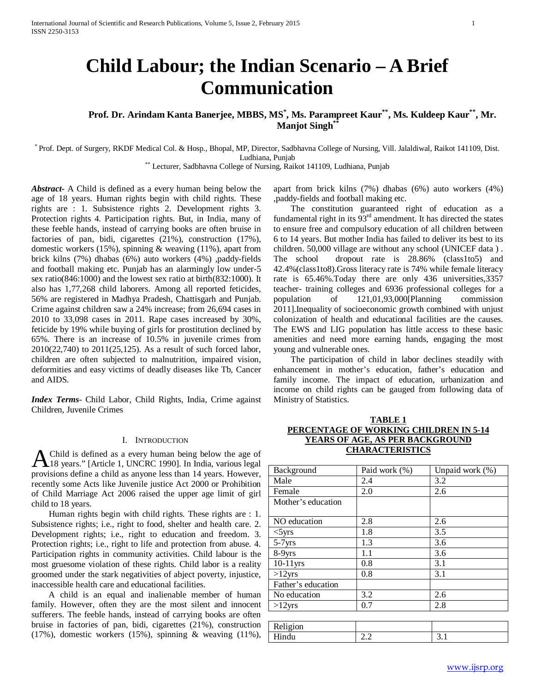# **Child Labour; the Indian Scenario – A Brief Communication**

# **Prof. Dr. Arindam Kanta Banerjee, MBBS, MS\* , Ms. Parampreet Kaur\*\*, Ms. Kuldeep Kaur\*\*, Mr. Manjot Singh\*\***

\* Prof. Dept. of Surgery, RKDF Medical Col. & Hosp., Bhopal, MP, Director, Sadbhavna College of Nursing, Vill. Jalaldiwal, Raikot 141109, Dist. Ludhiana, Punjab \*\* Lecturer, Sadbhavna College of Nursing, Raikot 141109, Ludhiana, Punjab

*Abstract***-** A Child is defined as a every human being below the age of 18 years. Human rights begin with child rights. These rights are : 1. Subsistence rights 2. Development rights 3. Protection rights 4. Participation rights. But, in India, many of these feeble hands, instead of carrying books are often bruise in factories of pan, bidi, cigarettes (21%), construction (17%), domestic workers (15%), spinning & weaving (11%), apart from brick kilns (7%) dhabas (6%) auto workers (4%) ,paddy-fields and football making etc. Punjab has an alarmingly low under-5 sex ratio(846:1000) and the lowest sex ratio at birth(832:1000). It also has 1,77,268 child laborers. Among all reported feticides, 56% are registered in Madhya Pradesh, Chattisgarh and Punjab. Crime against children saw a 24% increase; from 26,694 cases in 2010 to 33,098 cases in 2011. Rape cases increased by 30%, feticide by 19% while buying of girls for prostitution declined by 65%. There is an increase of 10.5% in juvenile crimes from 2010(22,740) to 2011(25,125). As a result of such forced labor, children are often subjected to malnutrition, impaired vision, deformities and easy victims of deadly diseases like Tb, Cancer and AIDS.

*Index Terms*- Child Labor, Child Rights, India, Crime against Children, Juvenile Crimes

#### I. INTRODUCTION

Child is defined as a every human being below the age of A Child is defined as a every human being below the age of 18 years." [Article 1, UNCRC 1990]. In India, various legal provisions define a child as anyone less than 14 years. However, recently some Acts like Juvenile justice Act 2000 or Prohibition of Child Marriage Act 2006 raised the upper age limit of girl child to 18 years.

 Human rights begin with child rights. These rights are : 1. Subsistence rights; i.e., right to food, shelter and health care. 2. Development rights; i.e., right to education and freedom. 3. Protection rights; i.e., right to life and protection from abuse. 4. Participation rights in community activities. Child labour is the most gruesome violation of these rights. Child labor is a reality groomed under the stark negativities of abject poverty, injustice, inaccessible health care and educational facilities.

 A child is an equal and inalienable member of human family. However, often they are the most silent and innocent sufferers. The feeble hands, instead of carrying books are often bruise in factories of pan, bidi, cigarettes (21%), construction (17%), domestic workers (15%), spinning & weaving (11%),

apart from brick kilns (7%) dhabas (6%) auto workers (4%) ,paddy-fields and football making etc.

 The constitution guaranteed right of education as a fundamental right in its  $93<sup>rd</sup>$  amendment. It has directed the states to ensure free and compulsory education of all children between 6 to 14 years. But mother India has failed to deliver its best to its children. 50,000 village are without any school (UNICEF data ) . The school dropout rate is 28.86% (class1to5) and 42.4%(class1to8).Gross literacy rate is 74% while female literacy rate is 65.46%.Today there are only 436 universities,3357 teacher- training colleges and 6936 professional colleges for a population of 121,01,93,000[Planning commission 2011].Inequality of socioeconomic growth combined with unjust colonization of health and educational facilities are the causes. The EWS and LIG population has little access to these basic amenities and need more earning hands, engaging the most young and vulnerable ones.

 The participation of child in labor declines steadily with enhancement in mother's education, father's education and family income. The impact of education, urbanization and income on child rights can be gauged from following data of Ministry of Statistics.

**TABLE 1 PERCENTAGE OF WORKING CHILDREN IN 5-14** 

| YEARS OF AGE, AS PER BACKGROUND<br><b>CHARACTERISTICS</b> |               |                 |  |
|-----------------------------------------------------------|---------------|-----------------|--|
| Background                                                | Paid work (%) | Unpaid work (%) |  |
| Male                                                      | 2.4           | 3.2             |  |
| Female                                                    | 2.0           | 2.6             |  |
| Mother's education                                        |               |                 |  |
| NO education                                              |               |                 |  |

| 1.8 | 3.5 |
|-----|-----|
| 1.3 | 3.6 |
| 1.1 | 3.6 |
| 0.8 | 3.1 |
| 0.8 | 3.1 |
|     |     |
| 3.2 | 2.6 |
| 0.7 | 2.8 |
|     |     |
|     |     |
| 2.2 | 3.1 |
|     |     |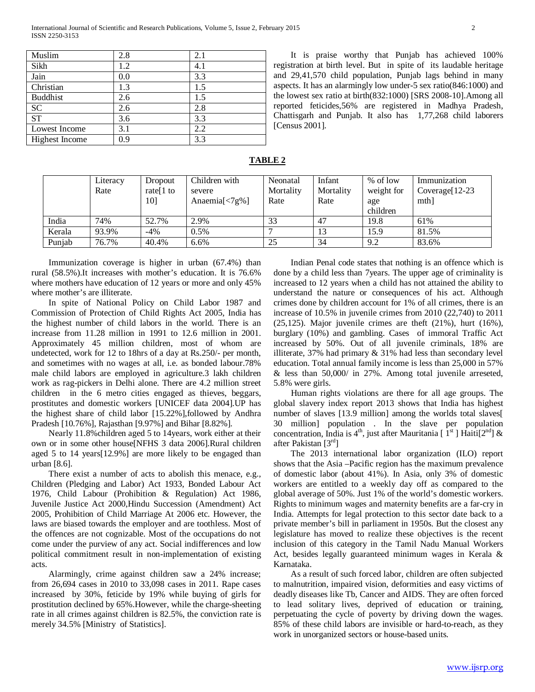| Muslim                | 2.8 | 2.1 |
|-----------------------|-----|-----|
| Sikh                  | 1.2 | 4.1 |
| Jain                  | 0.0 | 3.3 |
| Christian             | 1.3 | 1.5 |
| <b>Buddhist</b>       | 2.6 | 1.5 |
| <b>SC</b>             | 2.6 | 2.8 |
| <b>ST</b>             | 3.6 | 3.3 |
| Lowest Income         | 3.1 | 2.2 |
| <b>Highest Income</b> | 0.9 | 3.3 |

 It is praise worthy that Punjab has achieved 100% registration at birth level. But in spite of its laudable heritage and 29,41,570 child population, Punjab lags behind in many aspects. It has an alarmingly low under-5 sex ratio(846:1000) and the lowest sex ratio at birth(832:1000) [SRS 2008-10].Among all reported feticides,56% are registered in Madhya Pradesh, Chattisgarh and Punjab. It also has 1,77,268 child laborers [Census 2001].

|  | 2 F<br>г<br>. .<br>u. |  |
|--|-----------------------|--|
|--|-----------------------|--|

|        | Literacy<br>Rate | Dropout<br>rate $1$ to<br>10] | Children with<br>severe<br>Anaemia $\left[ < 7g \% \right]$ | Neonatal<br>Mortality<br>Rate | Infant<br>Mortality<br>Rate | % of low<br>weight for<br>age | Immunization<br>Coverage[12-23]<br>mth |
|--------|------------------|-------------------------------|-------------------------------------------------------------|-------------------------------|-----------------------------|-------------------------------|----------------------------------------|
| India  | 74%              | 52.7%                         | 2.9%                                                        | 33                            | -47                         | children<br>19.8              | 61%                                    |
| Kerala | 93.9%            | $-4%$                         | 0.5%                                                        |                               | 13                          | 15.9                          | 81.5%                                  |
| Punjab | 76.7%            | 40.4%                         | 6.6%                                                        | 25                            | 34                          | 9.2                           | 83.6%                                  |

 Immunization coverage is higher in urban (67.4%) than rural (58.5%).It increases with mother's education. It is 76.6% where mothers have education of 12 years or more and only 45% where mother's are illiterate.

 In spite of National Policy on Child Labor 1987 and Commission of Protection of Child Rights Act 2005, India has the highest number of child labors in the world. There is an increase from 11.28 million in 1991 to 12.6 million in 2001. Approximately 45 million children, most of whom are undetected, work for 12 to 18hrs of a day at Rs.250/- per month, and sometimes with no wages at all, i.e. as bonded labour.78% male child labors are employed in agriculture.3 lakh children work as rag-pickers in Delhi alone. There are 4.2 million street children in the 6 metro cities engaged as thieves, beggars, prostitutes and domestic workers [UNICEF data 2004].UP has the highest share of child labor [15.22%],followed by Andhra Pradesh [10.76%], Rajasthan [9.97%] and Bihar [8.82%].

 Nearly 11.8%children aged 5 to 14years, work either at their own or in some other house[NFHS 3 data 2006].Rural children aged 5 to 14 years[12.9%] are more likely to be engaged than urban [8.6].

 There exist a number of acts to abolish this menace, e.g., Children (Pledging and Labor) Act 1933, Bonded Labour Act 1976, Child Labour (Prohibition & Regulation) Act 1986, Juvenile Justice Act 2000,Hindu Succession (Amendment) Act 2005, Prohibition of Child Marriage At 2006 etc. However, the laws are biased towards the employer and are toothless. Most of the offences are not cognizable. Most of the occupations do not come under the purview of any act. Social indifferences and low political commitment result in non-implementation of existing acts.

 Alarmingly, crime against children saw a 24% increase; from 26,694 cases in 2010 to 33,098 cases in 2011. Rape cases increased by 30%, feticide by 19% while buying of girls for prostitution declined by 65%.However, while the charge-sheeting rate in all crimes against children is 82.5%, the conviction rate is merely 34.5% [Ministry of Statistics].

 Indian Penal code states that nothing is an offence which is done by a child less than 7years. The upper age of criminality is increased to 12 years when a child has not attained the ability to understand the nature or consequences of his act. Although crimes done by children account for 1% of all crimes, there is an increase of 10.5% in juvenile crimes from 2010 (22,740) to 2011 (25,125). Major juvenile crimes are theft (21%), hurt (16%), burglary (10%) and gambling. Cases of immoral Traffic Act increased by 50%. Out of all juvenile criminals, 18% are illiterate, 37% had primary & 31% had less than secondary level education. Total annual family income is less than 25,000 in 57% & less than 50,000/ in 27%. Among total juvenile arreseted, 5.8% were girls.

 Human rights violations are there for all age groups. The global slavery index report 2013 shows that India has highest number of slaves [13.9 million] among the worlds total slaves[ 30 million] population . In the slave per population concentration, India is 4<sup>th</sup>, just after Mauritania  $[\,\overline{1}^{st}\,]$  Haiti $[2^{nd}]\&$ after Pakistan  $[3<sup>rd</sup>]$ 

 The 2013 international labor organization (ILO) report shows that the Asia –Pacific region has the maximum prevalence of domestic labor (about 41%). In Asia, only 3% of domestic workers are entitled to a weekly day off as compared to the global average of 50%. Just 1% of the world's domestic workers. Rights to minimum wages and maternity benefits are a far-cry in India. Attempts for legal protection to this sector date back to a private member's bill in parliament in 1950s. But the closest any legislature has moved to realize these objectives is the recent inclusion of this category in the Tamil Nadu Manual Workers Act, besides legally guaranteed minimum wages in Kerala & Karnataka.

 As a result of such forced labor, children are often subjected to malnutrition, impaired vision, deformities and easy victims of deadly diseases like Tb, Cancer and AIDS. They are often forced to lead solitary lives, deprived of education or training, perpetuating the cycle of poverty by driving down the wages. 85% of these child labors are invisible or hard-to-reach, as they work in unorganized sectors or house-based units.